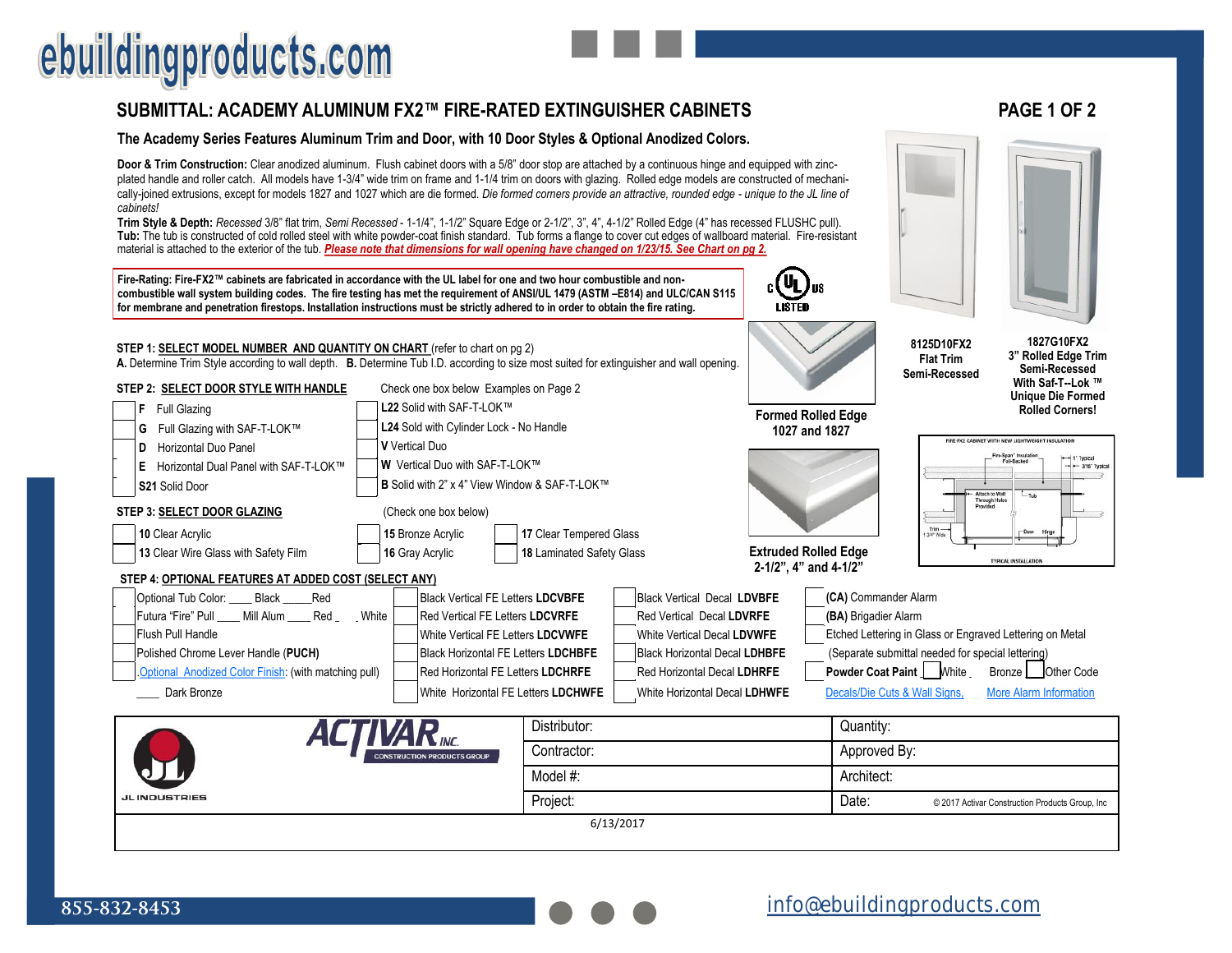## ebuildingproducts.com

### **[SUBMITTAL: ACADEMY ALUMINUM FX2™ FIRE](https://www.ebuildingproducts.com/product/Academy_Aluminum_Fire_Rated_Fire_Extinguisher_Cabinet)-RATED EXTINGUISHER CABINETS PAGE 1 OF 2**

#### **The Academy Series Features Aluminum Trim and Door, with 10 Door Styles & Optional Anodized Colors.**

**Door & Trim Construction:** Clear anodized aluminum. Flush cabinet doors with a 5/8" door stop are attached by a continuous hinge and equipped with zincplated handle and roller catch. All models have 1-3/4" wide trim on frame and 1-1/4 trim on doors with glazing. Rolled edge models are constructed of mechanically-joined extrusions, except for models 1827 and 1027 which are die formed. *Die formed corners provide an attractive, rounded edge - unique to the JL line of cabinets!*

**Trim Style & Depth:** *Recessed* 3/8" flat trim, *Semi Recessed* - 1-1/4", 1-1/2" Square Edge or 2-1/2", 3", 4", 4-1/2" Rolled Edge (4" has recessed FLUSHC pull). **Tub:** The tub is constructed of cold rolled steel with white powder-coat finish standard. Tub forms a flange to cover cut edges of wallboard material. Fire-resistant material is attached to the exterior of the tub. *Please note that dimensions for wall opening have changed on 1/23/15. See Chart on pg 2.* 

**Fire-Rating: Fire-FX2™ cabinets are fabricated in accordance with the UL label for one and two hour combustible and noncombustible wall system building codes. The fire testing has met the requirement of ANSI/UL 1479 (ASTM –E814) and ULC/CAN S115 for membrane and penetration firestops. Installation instructions must be strictly adhered to in order to obtain the fire rating.**





| STEP 1: SELECT MODEL NUMBER AND QUANTITY ON CHART (refer to chart on pg 2)<br>A. Determine Trim Style according to wall depth. B. Determine Tub I.D. according to size most suited for extinguisher and wall opening. |                                                                                           |                                          |           | 8125D10FX2<br><b>Flat Trim</b><br>Semi-Recessed      | 1827G10FX2<br>3" Rolled Edge Trim<br>Semi-Recessed |                                                   |                                                          |                                                  |                                                                                         |  |
|-----------------------------------------------------------------------------------------------------------------------------------------------------------------------------------------------------------------------|-------------------------------------------------------------------------------------------|------------------------------------------|-----------|------------------------------------------------------|----------------------------------------------------|---------------------------------------------------|----------------------------------------------------------|--------------------------------------------------|-----------------------------------------------------------------------------------------|--|
| STEP 2: SELECT DOOR STYLE WITH HANDLE                                                                                                                                                                                 | Check one box below Examples on Page 2                                                    |                                          |           |                                                      |                                                    |                                                   |                                                          | With Saf-T--Lok ™<br><b>Unique Die Formed</b>    |                                                                                         |  |
| <b>Full Glazing</b><br>F                                                                                                                                                                                              |                                                                                           | L22 Solid with SAF-T-LOK™                |           |                                                      |                                                    | <b>Formed Rolled Edge</b>                         |                                                          |                                                  | <b>Rolled Corners!</b>                                                                  |  |
| Full Glazing with SAF-T-LOK™<br>G                                                                                                                                                                                     |                                                                                           | L24 Sold with Cylinder Lock - No Handle  |           |                                                      |                                                    | 1027 and 1827                                     |                                                          |                                                  |                                                                                         |  |
| Horizontal Duo Panel<br>D                                                                                                                                                                                             |                                                                                           | V Vertical Duo                           |           |                                                      |                                                    |                                                   |                                                          |                                                  | FIRE-FX2 CARINET WITH NEW LIGHTWEIGHT INSULATION                                        |  |
| Е<br>Horizontal Dual Panel with SAF-T-LOK™                                                                                                                                                                            |                                                                                           | W Vertical Duo with SAF-T-LOK™           |           |                                                      |                                                    |                                                   |                                                          |                                                  | Fire-Span" Insulation<br>Foil-Backed<br>$+1$ <sup>*</sup> Typical<br>$ -$ 3/16" Typical |  |
| S21 Solid Door                                                                                                                                                                                                        |                                                                                           |                                          |           | <b>B</b> Solid with 2" x 4" View Window & SAF-T-LOK™ |                                                    |                                                   |                                                          |                                                  | Attach to Wall<br>$L_{\text{Tub}}$                                                      |  |
| STEP 3: SELECT DOOR GLAZING                                                                                                                                                                                           | (Check one box below)                                                                     |                                          |           |                                                      |                                                    |                                                   | Provided                                                 | <b>Through Holes</b>                             |                                                                                         |  |
| 10 Clear Acrylic                                                                                                                                                                                                      |                                                                                           | 15 Bronze Acrylic                        |           | 17 Clear Tempered Glass                              |                                                    |                                                   |                                                          | Trim-<br>3/4" Wide                               | -Door                                                                                   |  |
| 13 Clear Wire Glass with Safety Film                                                                                                                                                                                  | <b>Extruded Rolled Edge</b><br>18 Laminated Safety Glass                                  |                                          |           |                                                      |                                                    | <b>TYPICAL INSTALLATION</b>                       |                                                          |                                                  |                                                                                         |  |
| 2-1/2", 4" and 4-1/2"<br>STEP 4: OPTIONAL FEATURES AT ADDED COST (SELECT ANY)                                                                                                                                         |                                                                                           |                                          |           |                                                      |                                                    |                                                   |                                                          |                                                  |                                                                                         |  |
| Optional Tub Color: Black<br>Red                                                                                                                                                                                      |                                                                                           | <b>Black Vertical FE Letters LDCVBFE</b> |           |                                                      | <b>Black Vertical Decal LDVBFE</b>                 |                                                   | (CA) Commander Alarm                                     |                                                  |                                                                                         |  |
| Red<br>Futura "Fire" Pull Mill Alum                                                                                                                                                                                   | White<br>Red Vertical FE Letters LDCVRFE                                                  |                                          |           |                                                      | <b>Red Vertical Decal LDVRFE</b>                   |                                                   |                                                          | (BA) Brigadier Alarm                             |                                                                                         |  |
| Flush Pull Handle                                                                                                                                                                                                     | White Vertical FE Letters LDCVWFE                                                         |                                          |           |                                                      | White Vertical Decal LDVWFE                        |                                                   | Etched Lettering in Glass or Engraved Lettering on Metal |                                                  |                                                                                         |  |
| Polished Chrome Lever Handle (PUCH)                                                                                                                                                                                   | <b>Black Horizontal FE Letters LDCHBFE</b>                                                |                                          |           |                                                      | <b>Black Horizontal Decal LDHBFE</b>               | (Separate submittal needed for special lettering) |                                                          |                                                  |                                                                                         |  |
|                                                                                                                                                                                                                       | Optional Anodized Color Finish: (with matching pull)<br>Red Horizontal FE Letters LDCHRFE |                                          |           |                                                      | <b>Red Horizontal Decal LDHRFE</b>                 |                                                   | <b>Powder Coat Paint   White</b>                         |                                                  | Bronze   Other Code                                                                     |  |
| Dark Bronze                                                                                                                                                                                                           | White Horizontal FE Letters LDCHWFE                                                       | White Horizontal Decal LDHWFE            |           | Decals/Die Cuts & Wall Signs,                        |                                                    | <b>More Alarm Information</b>                     |                                                          |                                                  |                                                                                         |  |
| <b>ALTIVAR</b> <sub>MC.</sub>                                                                                                                                                                                         | Distributor:                                                                              |                                          | Quantity: |                                                      |                                                    |                                                   |                                                          |                                                  |                                                                                         |  |
|                                                                                                                                                                                                                       | Contractor:                                                                               |                                          |           | Approved By:                                         |                                                    |                                                   |                                                          |                                                  |                                                                                         |  |
|                                                                                                                                                                                                                       |                                                                                           |                                          | Model #:  |                                                      |                                                    | Architect:                                        |                                                          |                                                  |                                                                                         |  |
| <b>JL INDUSTRIES</b>                                                                                                                                                                                                  |                                                                                           |                                          | Project:  |                                                      |                                                    | Date:                                             |                                                          | © 2017 Activar Construction Products Group, Inc. |                                                                                         |  |
| 6/13/2017                                                                                                                                                                                                             |                                                                                           |                                          |           |                                                      |                                                    |                                                   |                                                          |                                                  |                                                                                         |  |